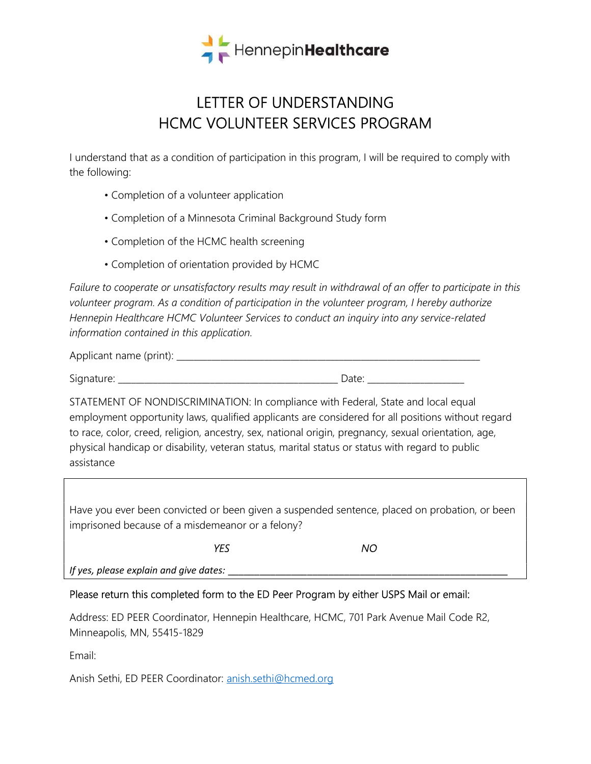

## LETTER OF UNDERSTANDING HCMC VOLUNTEER SERVICES PROGRAM

I understand that as a condition of participation in this program, I will be required to comply with the following:

- Completion of a volunteer application
- Completion of a Minnesota Criminal Background Study form
- Completion of the HCMC health screening
- Completion of orientation provided by HCMC

Failure to cooperate or unsatisfactory results may result in withdrawal of an offer to participate in this volunteer program. As a condition of participation in the volunteer program, I hereby authorize Hennepin Healthcare HCMC Volunteer Services to conduct an inquiry into any service-related information contained in this application.

| $\mathsf{A} \mathsf{D}$<br>$\frac{1}{2}$<br><b>CALLE LIGHTIC</b><br>$\sim$ |  |
|----------------------------------------------------------------------------|--|
|                                                                            |  |

Signature: \_\_\_\_\_\_\_\_\_\_\_\_\_\_\_\_\_\_\_\_\_\_\_\_\_\_\_\_\_\_\_\_\_\_\_\_\_\_\_\_\_\_\_\_\_\_\_\_\_\_ Date: \_\_\_\_\_\_\_\_\_\_\_\_\_\_\_\_\_\_\_\_\_\_

STATEMENT OF NONDISCRIMINATION: In compliance with Federal, State and local equal employment opportunity laws, qualified applicants are considered for all positions without regard to race, color, creed, religion, ancestry, sex, national origin, pregnancy, sexual orientation, age, physical handicap or disability, veteran status, marital status or status with regard to public assistance

Have you ever been convicted or been given a suspended sentence, placed on probation, or been imprisoned because of a misdemeanor or a felony?

YES NO

If yes, please explain and give dates: \_\_\_\_\_\_\_\_\_\_\_\_\_\_\_\_\_\_\_\_\_\_\_\_\_\_\_\_\_\_\_\_\_\_\_\_\_\_\_\_\_\_\_\_\_\_\_\_\_\_\_\_\_

## Please return this completed form to the ED Peer Program by either USPS Mail or email:

Address: ED PEER Coordinator, Hennepin Healthcare, HCMC, 701 Park Avenue Mail Code R2, Minneapolis, MN, 55415-1829

Email:

Anish Sethi, ED PEER Coordinator: anish.sethi@hcmed.org